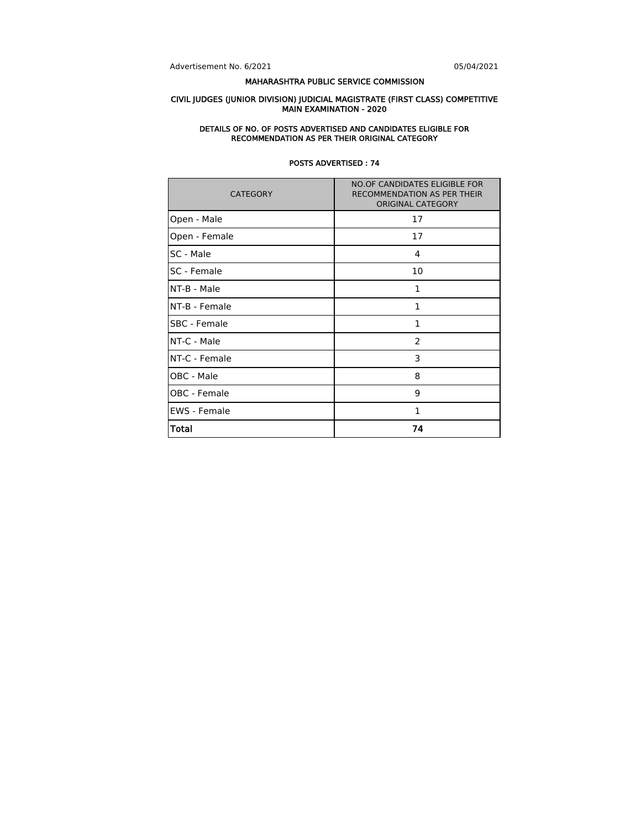Advertisement No. 6/2021 05/04/2021

### MAHARASHTRA PUBLIC SERVICE COMMISSION

#### CIVIL JUDGES (JUNIOR DIVISION) JUDICIAL MAGISTRATE (FIRST CLASS) COMPETITIVE MAIN EXAMINATION - 2020

#### DETAILS OF NO. OF POSTS ADVERTISED AND CANDIDATES ELIGIBLE FOR RECOMMENDATION AS PER THEIR ORIGINAL CATEGORY

| <b>CATEGORY</b>     | <b>NO.OF CANDIDATES ELIGIBLE FOR</b><br>RECOMMENDATION AS PER THEIR<br><b>ORIGINAL CATEGORY</b> |  |  |  |  |
|---------------------|-------------------------------------------------------------------------------------------------|--|--|--|--|
| Open - Male         | 17                                                                                              |  |  |  |  |
| Open - Female       | 17                                                                                              |  |  |  |  |
| SC - Male           | 4                                                                                               |  |  |  |  |
| SC - Female         | 10                                                                                              |  |  |  |  |
| NT-B - Male         | 1                                                                                               |  |  |  |  |
| NT-B - Female       | $\mathbf{1}$                                                                                    |  |  |  |  |
| SBC - Female        | $\mathbf{1}$                                                                                    |  |  |  |  |
| NT-C - Male         | 2                                                                                               |  |  |  |  |
| NT-C - Female       | 3                                                                                               |  |  |  |  |
| OBC - Male          | 8                                                                                               |  |  |  |  |
| OBC - Female        | 9                                                                                               |  |  |  |  |
| <b>EWS</b> - Female | 1                                                                                               |  |  |  |  |
| <b>Total</b>        | 74                                                                                              |  |  |  |  |

### POSTS ADVERTISED : 74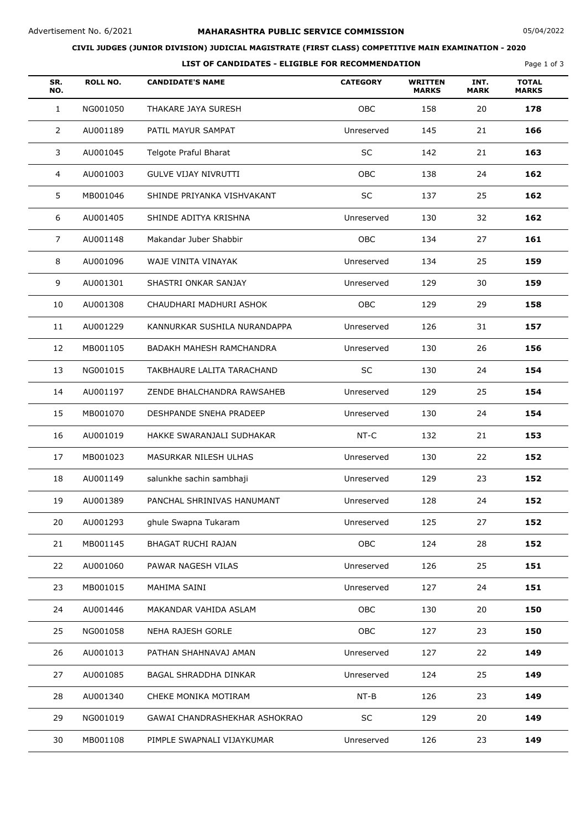## **CIVIL JUDGES (JUNIOR DIVISION) JUDICIAL MAGISTRATE (FIRST CLASS) COMPETITIVE MAIN EXAMINATION - 2020**

|            | LIST OF CANDIDATES - ELIGIBLE FOR RECOMMENDATION<br>Page 1 of 3 |                             |                 |                                |                     |                              |  |
|------------|-----------------------------------------------------------------|-----------------------------|-----------------|--------------------------------|---------------------|------------------------------|--|
| SR.<br>NO. | <b>ROLL NO.</b>                                                 | <b>CANDIDATE'S NAME</b>     | <b>CATEGORY</b> | <b>WRITTEN</b><br><b>MARKS</b> | INT.<br><b>MARK</b> | <b>TOTAL</b><br><b>MARKS</b> |  |
|            | NG001050                                                        | THAKARE JAYA SURESH         | <b>OBC</b>      | 158                            | 20                  | 178                          |  |
| 2          | AU001189                                                        | PATIL MAYUR SAMPAT          | Unreserved      | 145                            | 21                  | 166                          |  |
| 3          | AU001045                                                        | Telgote Praful Bharat       | SC              | 142                            | 21                  | 163                          |  |
| 4          | AU001003                                                        | <b>GULVE VIJAY NIVRUTTI</b> | <b>OBC</b>      | 138                            | 24                  | 162                          |  |

| 5  | MB001046 | SHINDE PRIYANKA VISHVAKANT    | SC         | 137 | 25 | 162 |
|----|----------|-------------------------------|------------|-----|----|-----|
| 6  | AU001405 | SHINDE ADITYA KRISHNA         | Unreserved | 130 | 32 | 162 |
| 7  | AU001148 | Makandar Juber Shabbir        | <b>OBC</b> | 134 | 27 | 161 |
| 8  | AU001096 | WAJE VINITA VINAYAK           | Unreserved | 134 | 25 | 159 |
| 9  | AU001301 | SHASTRI ONKAR SANJAY          | Unreserved | 129 | 30 | 159 |
| 10 | AU001308 | CHAUDHARI MADHURI ASHOK       | <b>OBC</b> | 129 | 29 | 158 |
| 11 | AU001229 | KANNURKAR SUSHILA NURANDAPPA  | Unreserved | 126 | 31 | 157 |
| 12 | MB001105 | BADAKH MAHESH RAMCHANDRA      | Unreserved | 130 | 26 | 156 |
| 13 | NG001015 | TAKBHAURE LALITA TARACHAND    | SC         | 130 | 24 | 154 |
| 14 | AU001197 | ZENDE BHALCHANDRA RAWSAHEB    | Unreserved | 129 | 25 | 154 |
| 15 | MB001070 | DESHPANDE SNEHA PRADEEP       | Unreserved | 130 | 24 | 154 |
| 16 | AU001019 | HAKKE SWARANJALI SUDHAKAR     | $NT-C$     | 132 | 21 | 153 |
| 17 | MB001023 | MASURKAR NILESH ULHAS         | Unreserved | 130 | 22 | 152 |
| 18 | AU001149 | salunkhe sachin sambhaji      | Unreserved | 129 | 23 | 152 |
| 19 | AU001389 | PANCHAL SHRINIVAS HANUMANT    | Unreserved | 128 | 24 | 152 |
| 20 | AU001293 | ghule Swapna Tukaram          | Unreserved | 125 | 27 | 152 |
| 21 | MB001145 | <b>BHAGAT RUCHI RAJAN</b>     | <b>OBC</b> | 124 | 28 | 152 |
| 22 | AU001060 | PAWAR NAGESH VILAS            | Unreserved | 126 | 25 | 151 |
| 23 | MB001015 | MAHIMA SAINI                  | Unreserved | 127 | 24 | 151 |
| 24 | AU001446 | MAKANDAR VAHIDA ASLAM         | OBC        | 130 | 20 | 150 |
| 25 | NG001058 | NEHA RAJESH GORLE             | <b>OBC</b> | 127 | 23 | 150 |
| 26 | AU001013 | PATHAN SHAHNAVAJ AMAN         | Unreserved | 127 | 22 | 149 |
| 27 | AU001085 | BAGAL SHRADDHA DINKAR         | Unreserved | 124 | 25 | 149 |
| 28 | AU001340 | CHEKE MONIKA MOTIRAM          | NT-B       | 126 | 23 | 149 |
| 29 | NG001019 | GAWAI CHANDRASHEKHAR ASHOKRAO | SC         | 129 | 20 | 149 |
| 30 | MB001108 | PIMPLE SWAPNALI VIJAYKUMAR    | Unreserved | 126 | 23 | 149 |
|    |          |                               |            |     |    |     |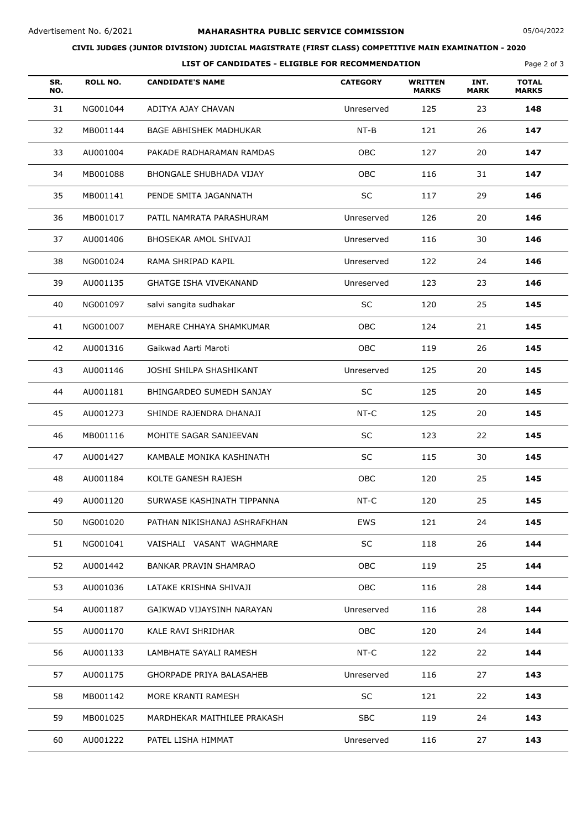## **CIVIL JUDGES (JUNIOR DIVISION) JUDICIAL MAGISTRATE (FIRST CLASS) COMPETITIVE MAIN EXAMINATION - 2020**

| LIST OF CANDIDATES - ELIGIBLE FOR RECOMMENDATION |
|--------------------------------------------------|
|                                                  |

Page 2 of 3

| SR.<br>NO. | <b>ROLL NO.</b> | <b>CANDIDATE'S NAME</b>        | <b>CATEGORY</b> | <b>WRITTEN</b><br><b>MARKS</b> | INT.<br><b>MARK</b> | <b>TOTAL</b><br><b>MARKS</b> |  |
|------------|-----------------|--------------------------------|-----------------|--------------------------------|---------------------|------------------------------|--|
| 31         | NG001044        | ADITYA AJAY CHAVAN             | Unreserved      | 125                            | 23                  | 148                          |  |
| 32         | MB001144        | <b>BAGE ABHISHEK MADHUKAR</b>  | $NT-B$          | 121                            | 26                  | 147                          |  |
| 33         | AU001004        | PAKADE RADHARAMAN RAMDAS       | OBC             | 127                            | 20                  | 147                          |  |
| 34         | MB001088        | <b>BHONGALE SHUBHADA VIJAY</b> | OBC             | 116                            | 31                  | 147                          |  |
| 35         | MB001141        | PENDE SMITA JAGANNATH          | <b>SC</b>       | 117                            | 29                  | 146                          |  |
| 36         | MB001017        | PATIL NAMRATA PARASHURAM       | Unreserved      | 126                            | 20                  | 146                          |  |
| 37         | AU001406        | BHOSEKAR AMOL SHIVAJI          | Unreserved      | 116                            | 30                  | 146                          |  |
| 38         | NG001024        | RAMA SHRIPAD KAPIL             | Unreserved      | 122                            | 24                  | 146                          |  |
| 39         | AU001135        | <b>GHATGE ISHA VIVEKANAND</b>  | Unreserved      | 123                            | 23                  | 146                          |  |
| 40         | NG001097        | salvi sangita sudhakar         | <b>SC</b>       | 120                            | 25                  | 145                          |  |
| 41         | NG001007        | MEHARE CHHAYA SHAMKUMAR        | OBC             | 124                            | 21                  | 145                          |  |
| 42         | AU001316        | Gaikwad Aarti Maroti           | OBC             | 119                            | 26                  | 145                          |  |
| 43         | AU001146        | JOSHI SHILPA SHASHIKANT        | Unreserved      | 125                            | 20                  | 145                          |  |
| 44         | AU001181        | BHINGARDEO SUMEDH SANJAY       | <b>SC</b>       | 125                            | 20                  | 145                          |  |
| 45         | AU001273        | SHINDE RAJENDRA DHANAJI        | NT-C            | 125                            | 20                  | 145                          |  |
| 46         | MB001116        | MOHITE SAGAR SANJEEVAN         | $\sf SC$        | 123                            | 22                  | 145                          |  |
| 47         | AU001427        | KAMBALE MONIKA KASHINATH       | <b>SC</b>       | 115                            | 30                  | 145                          |  |
| 48         | AU001184        | KOLTE GANESH RAJESH            | OBC             | 120                            | 25                  | 145                          |  |
| 49         | AU001120        | SURWASE KASHINATH TIPPANNA     | NT-C            | 120                            | 25                  | 145                          |  |
| 50         | NG001020        | PATHAN NIKISHANAJ ASHRAFKHAN   | EWS             | 121                            | 24                  | 145                          |  |
| 51         | NG001041        | VAISHALI VASANT WAGHMARE       | SC              | 118                            | 26                  | 144                          |  |
| 52         | AU001442        | BANKAR PRAVIN SHAMRAO          | OBC             | 119                            | 25                  | 144                          |  |
| 53         | AU001036        | LATAKE KRISHNA SHIVAJI         | OBC             | 116                            | 28                  | 144                          |  |
| 54         | AU001187        | GAIKWAD VIJAYSINH NARAYAN      | Unreserved      | 116                            | 28                  | 144                          |  |
| 55         | AU001170        | KALE RAVI SHRIDHAR             | OBC             | 120                            | 24                  | 144                          |  |
| 56         | AU001133        | LAMBHATE SAYALI RAMESH         | NT-C            | 122                            | 22                  | 144                          |  |
| 57         | AU001175        | GHORPADE PRIYA BALASAHEB       | Unreserved      | 116                            | 27                  | 143                          |  |
| 58         | MB001142        | MORE KRANTI RAMESH             | SC              | 121                            | 22                  | 143                          |  |
| 59         | MB001025        | MARDHEKAR MAITHILEE PRAKASH    | <b>SBC</b>      | 119                            | 24                  | 143                          |  |
| 60         | AU001222        | PATEL LISHA HIMMAT             | Unreserved      | 116                            | 27                  | 143                          |  |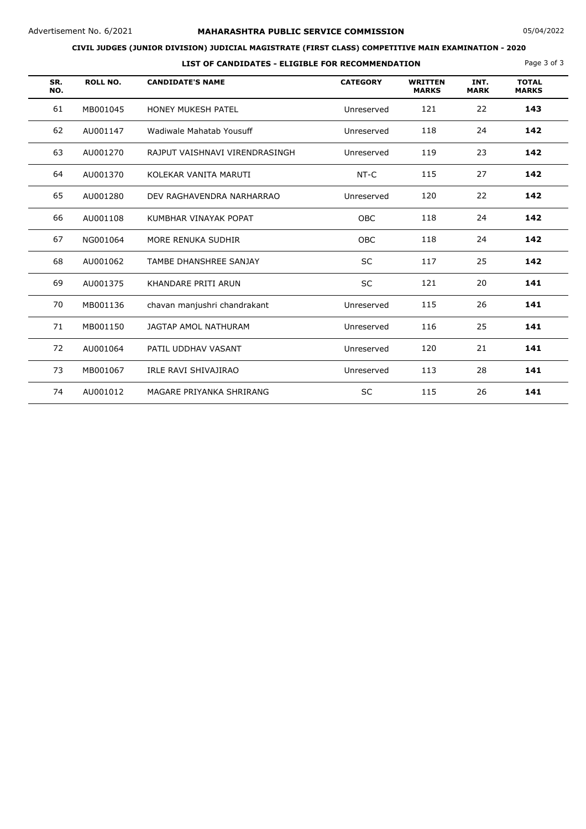## **CIVIL JUDGES (JUNIOR DIVISION) JUDICIAL MAGISTRATE (FIRST CLASS) COMPETITIVE MAIN EXAMINATION - 2020**

| LIST OF CANDIDATES - ELIGIBLE FOR RECOMMENDATION |                 |                                |                 |                                |                     | Page 3 of 3                  |
|--------------------------------------------------|-----------------|--------------------------------|-----------------|--------------------------------|---------------------|------------------------------|
| SR.<br>NO.                                       | <b>ROLL NO.</b> | <b>CANDIDATE'S NAME</b>        | <b>CATEGORY</b> | <b>WRITTEN</b><br><b>MARKS</b> | INT.<br><b>MARK</b> | <b>TOTAL</b><br><b>MARKS</b> |
| 61                                               | MB001045        | <b>HONEY MUKESH PATEL</b>      | Unreserved      | 121                            | 22                  | 143                          |
| 62                                               | AU001147        | Wadiwale Mahatab Yousuff       | Unreserved      | 118                            | 24                  | 142                          |
| 63                                               | AU001270        | RAJPUT VAISHNAVI VIRENDRASINGH | Unreserved      | 119                            | 23                  | 142                          |
| 64                                               | AU001370        | KOLEKAR VANITA MARUTI          | NT-C            | 115                            | 27                  | 142                          |
| 65                                               | AU001280        | DEV RAGHAVENDRA NARHARRAO      | Unreserved      | 120                            | 22                  | 142                          |
| 66                                               | AU001108        | KUMBHAR VINAYAK POPAT          | <b>OBC</b>      | 118                            | 24                  | 142                          |
| 67                                               | NG001064        | MORE RENUKA SUDHIR             | <b>OBC</b>      | 118                            | 24                  | 142                          |
| 68                                               | AU001062        | TAMBE DHANSHREE SANJAY         | <b>SC</b>       | 117                            | 25                  | 142                          |
| 69                                               | AU001375        | KHANDARE PRITI ARUN            | <b>SC</b>       | 121                            | 20                  | 141                          |
| 70                                               | MB001136        | chavan manjushri chandrakant   | Unreserved      | 115                            | 26                  | 141                          |
| 71                                               | MB001150        | JAGTAP AMOL NATHURAM           | Unreserved      | 116                            | 25                  | 141                          |
| 72                                               | AU001064        | PATIL UDDHAV VASANT            | Unreserved      | 120                            | 21                  | 141                          |
| 73                                               | MB001067        | IRLE RAVI SHIVAJIRAO           | Unreserved      | 113                            | 28                  | 141                          |
| 74                                               | AU001012        | MAGARE PRIYANKA SHRIRANG       | <b>SC</b>       | 115                            | 26                  | 141                          |